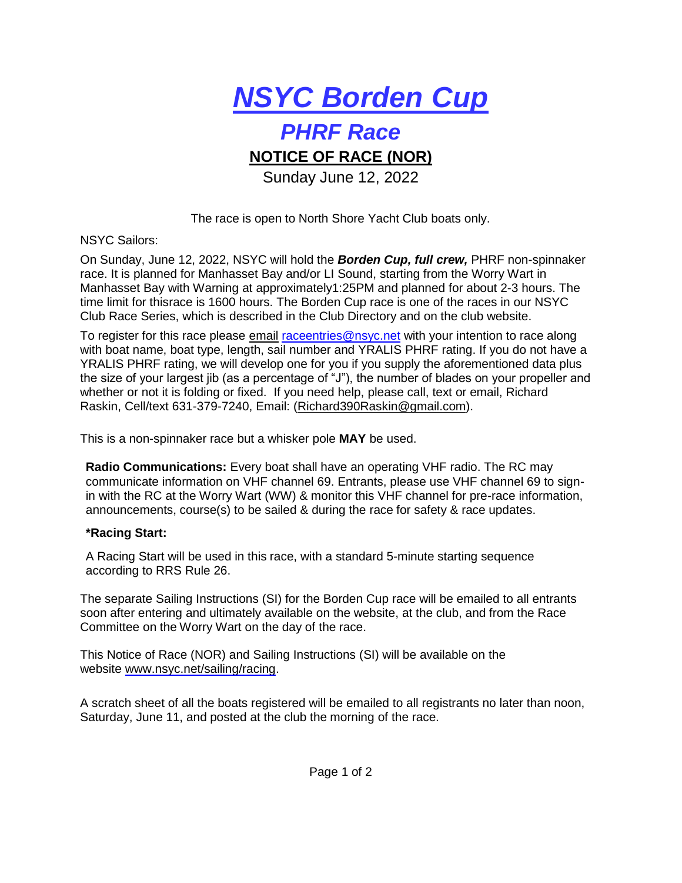

## *PHRF Race*

## **NOTICE OF RACE (NOR)**

Sunday June 12, 2022

The race is open to North Shore Yacht Club boats only.

NSYC Sailors:

On Sunday, June 12, 2022, NSYC will hold the *Borden Cup, full crew,* PHRF non-spinnaker race. It is planned for Manhasset Bay and/or LI Sound, starting from the Worry Wart in Manhasset Bay with Warning at approximately1:25PM and planned for about 2-3 hours. The time limit for thisrace is 1600 hours. The Borden Cup race is one of the races in our NSYC Club Race Series, which is described in the Club Directory and on the club website.

To register for this race please email [raceentries@nsyc.net](mailto:raceentries@nsyc.net) with your intention to race along with boat name, boat type, length, sail number and YRALIS PHRF rating. If you do not have a YRALIS PHRF rating, we will develop one for you if you supply the aforementioned data plus the size of your largest jib (as a percentage of "J"), the number of blades on your propeller and whether or not it is folding or fixed. If you need help, please call, text or email, Richard Raskin, Cell/text 631-379-7240, Email: [\(Richard390Raskin@gmail.com\)](mailto:Richard390Raskin@gmail.com).

This is a non-spinnaker race but a whisker pole **MAY** be used.

**Radio Communications:** Every boat shall have an operating VHF radio. The RC may communicate information on VHF channel 69. Entrants, please use VHF channel 69 to signin with the RC at the Worry Wart (WW) & monitor this VHF channel for pre-race information, announcements, course(s) to be sailed & during the race for safety & race updates.

## **\*Racing Start:**

A Racing Start will be used in this race, with a standard 5-minute starting sequence according to RRS Rule 26.

The separate Sailing Instructions (SI) for the Borden Cup race will be emailed to all entrants soon after entering and ultimately available on the website, at the club, and from the Race Committee on the Worry Wart on the day of the race.

This Notice of Race (NOR) and Sailing Instructions (SI) will be available on the website [www.nsyc.net/sailing/racing.](http://www.nsyc.net/sailing/racing)

A scratch sheet of all the boats registered will be emailed to all registrants no later than noon, Saturday, June 11, and posted at the club the morning of the race.